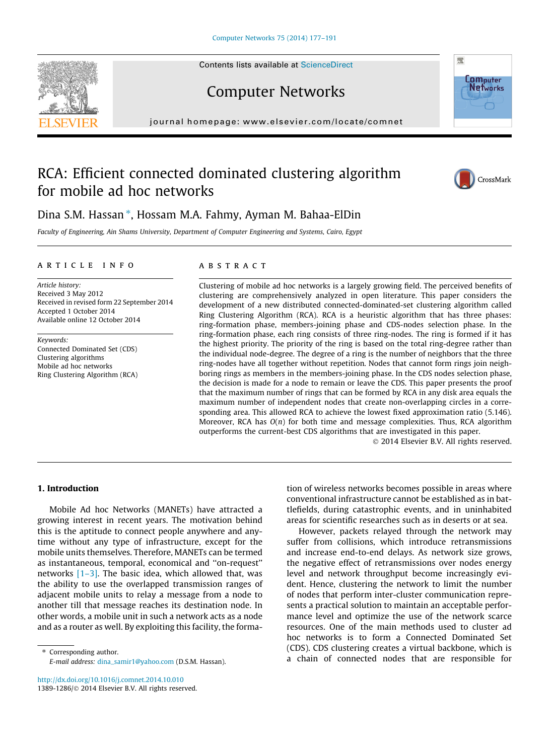Contents lists available at [ScienceDirect](http://www.sciencedirect.com/science/journal/13891286)





journal homepage: [www.elsevier.com/locate/comnet](http://www.elsevier.com/locate/comnet)

## RCA: Efficient connected dominated clustering algorithm for mobile ad hoc networks



**Com**puter **Networks** 

骤

### Dina S.M. Hassan ⇑ , Hossam M.A. Fahmy, Ayman M. Bahaa-ElDin

Faculty of Engineering, Ain Shams University, Department of Computer Engineering and Systems, Cairo, Egypt

#### ARTICIE INFO

Article history: Received 3 May 2012 Received in revised form 22 September 2014 Accepted 1 October 2014 Available online 12 October 2014

Keywords: Connected Dominated Set (CDS) Clustering algorithms Mobile ad hoc networks Ring Clustering Algorithm (RCA)

#### **ARSTRACT**

Clustering of mobile ad hoc networks is a largely growing field. The perceived benefits of clustering are comprehensively analyzed in open literature. This paper considers the development of a new distributed connected-dominated-set clustering algorithm called Ring Clustering Algorithm (RCA). RCA is a heuristic algorithm that has three phases: ring-formation phase, members-joining phase and CDS-nodes selection phase. In the ring-formation phase, each ring consists of three ring-nodes. The ring is formed if it has the highest priority. The priority of the ring is based on the total ring-degree rather than the individual node-degree. The degree of a ring is the number of neighbors that the three ring-nodes have all together without repetition. Nodes that cannot form rings join neighboring rings as members in the members-joining phase. In the CDS nodes selection phase, the decision is made for a node to remain or leave the CDS. This paper presents the proof that the maximum number of rings that can be formed by RCA in any disk area equals the maximum number of independent nodes that create non-overlapping circles in a corresponding area. This allowed RCA to achieve the lowest fixed approximation ratio (5.146). Moreover, RCA has  $O(n)$  for both time and message complexities. Thus, RCA algorithm outperforms the current-best CDS algorithms that are investigated in this paper.

- 2014 Elsevier B.V. All rights reserved.

#### 1. Introduction

Mobile Ad hoc Networks (MANETs) have attracted a growing interest in recent years. The motivation behind this is the aptitude to connect people anywhere and anytime without any type of infrastructure, except for the mobile units themselves. Therefore, MANETs can be termed as instantaneous, temporal, economical and ''on-request'' networks  $[1-3]$ . The basic idea, which allowed that, was the ability to use the overlapped transmission ranges of adjacent mobile units to relay a message from a node to another till that message reaches its destination node. In other words, a mobile unit in such a network acts as a node and as a router as well. By exploiting this facility, the forma-

⇑ Corresponding author. E-mail address: [dina\\_samir1@yahoo.com](mailto:dina_samir1@yahoo.com) (D.S.M. Hassan).

<http://dx.doi.org/10.1016/j.comnet.2014.10.010> 1389-1286/© 2014 Elsevier B.V. All rights reserved.

tion of wireless networks becomes possible in areas where conventional infrastructure cannot be established as in battlefields, during catastrophic events, and in uninhabited areas for scientific researches such as in deserts or at sea.

However, packets relayed through the network may suffer from collisions, which introduce retransmissions and increase end-to-end delays. As network size grows, the negative effect of retransmissions over nodes energy level and network throughput become increasingly evident. Hence, clustering the network to limit the number of nodes that perform inter-cluster communication represents a practical solution to maintain an acceptable performance level and optimize the use of the network scarce resources. One of the main methods used to cluster ad hoc networks is to form a Connected Dominated Set (CDS). CDS clustering creates a virtual backbone, which is a chain of connected nodes that are responsible for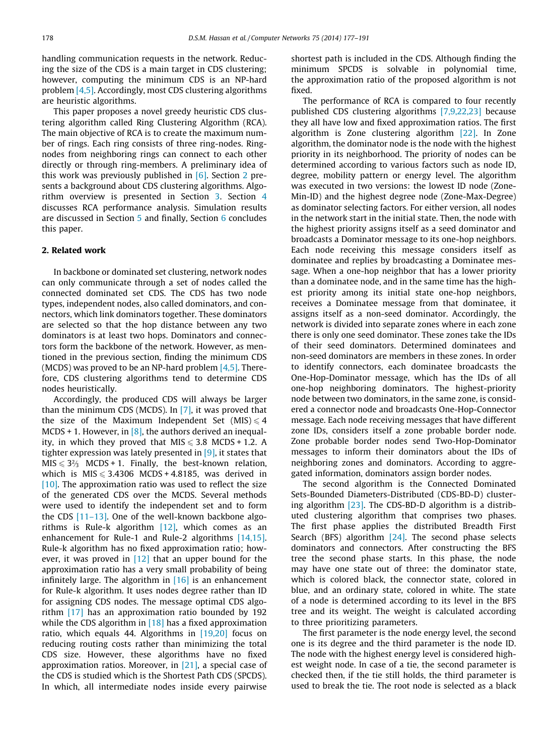handling communication requests in the network. Reducing the size of the CDS is a main target in CDS clustering; however, computing the minimum CDS is an NP-hard problem [\[4,5\]](#page--1-0). Accordingly, most CDS clustering algorithms are heuristic algorithms.

This paper proposes a novel greedy heuristic CDS clustering algorithm called Ring Clustering Algorithm (RCA). The main objective of RCA is to create the maximum number of rings. Each ring consists of three ring-nodes. Ringnodes from neighboring rings can connect to each other directly or through ring-members. A preliminary idea of this work was previously published in  $[6]$ . Section 2 presents a background about CDS clustering algorithms. Algorithm overview is presented in Section [3](#page--1-0). Section [4](#page--1-0) discusses RCA performance analysis. Simulation results are discussed in Section [5](#page--1-0) and finally, Section [6](#page--1-0) concludes this paper.

#### 2. Related work

In backbone or dominated set clustering, network nodes can only communicate through a set of nodes called the connected dominated set CDS. The CDS has two node types, independent nodes, also called dominators, and connectors, which link dominators together. These dominators are selected so that the hop distance between any two dominators is at least two hops. Dominators and connectors form the backbone of the network. However, as mentioned in the previous section, finding the minimum CDS (MCDS) was proved to be an NP-hard problem  $[4,5]$ . Therefore, CDS clustering algorithms tend to determine CDS nodes heuristically.

Accordingly, the produced CDS will always be larger than the minimum CDS (MCDS). In [\[7\],](#page--1-0) it was proved that the size of the Maximum Independent Set (MIS)  $\leq 4$ MCDS + 1. However, in  $[8]$ , the authors derived an inequality, in which they proved that  $MIS \le 3.8$  MCDS + 1.2. A tighter expression was lately presented in [\[9\]](#page--1-0), it states that  $MIS \leqslant 3\frac{2}{3}$  MCDS + 1. Finally, the best-known relation, which is  $MIS \leqslant 3.4306$  MCDS + 4.8185, was derived in  $[10]$ . The approximation ratio was used to reflect the size of the generated CDS over the MCDS. Several methods were used to identify the independent set and to form the CDS  $[11-13]$ . One of the well-known backbone algorithms is Rule-k algorithm [\[12\],](#page--1-0) which comes as an enhancement for Rule-1 and Rule-2 algorithms [\[14,15\]](#page--1-0). Rule-k algorithm has no fixed approximation ratio; however, it was proved in  $[12]$  that an upper bound for the approximation ratio has a very small probability of being infinitely large. The algorithm in  $[16]$  is an enhancement for Rule-k algorithm. It uses nodes degree rather than ID for assigning CDS nodes. The message optimal CDS algorithm [\[17\]](#page--1-0) has an approximation ratio bounded by 192 while the CDS algorithm in  $[18]$  has a fixed approximation ratio, which equals 44. Algorithms in  $[19,20]$  focus on reducing routing costs rather than minimizing the total CDS size. However, these algorithms have no fixed approximation ratios. Moreover, in [\[21\]](#page--1-0), a special case of the CDS is studied which is the Shortest Path CDS (SPCDS). In which, all intermediate nodes inside every pairwise

shortest path is included in the CDS. Although finding the minimum SPCDS is solvable in polynomial time, the approximation ratio of the proposed algorithm is not fixed.

The performance of RCA is compared to four recently published CDS clustering algorithms [\[7,9,22,23\]](#page--1-0) because they all have low and fixed approximation ratios. The first algorithm is Zone clustering algorithm [\[22\].](#page--1-0) In Zone algorithm, the dominator node is the node with the highest priority in its neighborhood. The priority of nodes can be determined according to various factors such as node ID, degree, mobility pattern or energy level. The algorithm was executed in two versions: the lowest ID node (Zone-Min-ID) and the highest degree node (Zone-Max-Degree) as dominator selecting factors. For either version, all nodes in the network start in the initial state. Then, the node with the highest priority assigns itself as a seed dominator and broadcasts a Dominator message to its one-hop neighbors. Each node receiving this message considers itself as dominatee and replies by broadcasting a Dominatee message. When a one-hop neighbor that has a lower priority than a dominatee node, and in the same time has the highest priority among its initial state one-hop neighbors, receives a Dominatee message from that dominatee, it assigns itself as a non-seed dominator. Accordingly, the network is divided into separate zones where in each zone there is only one seed dominator. These zones take the IDs of their seed dominators. Determined dominatees and non-seed dominators are members in these zones. In order to identify connectors, each dominatee broadcasts the One-Hop-Dominator message, which has the IDs of all one-hop neighboring dominators. The highest-priority node between two dominators, in the same zone, is considered a connector node and broadcasts One-Hop-Connector message. Each node receiving messages that have different zone IDs, considers itself a zone probable border node. Zone probable border nodes send Two-Hop-Dominator messages to inform their dominators about the IDs of neighboring zones and dominators. According to aggregated information, dominators assign border nodes.

The second algorithm is the Connected Dominated Sets-Bounded Diameters-Distributed (CDS-BD-D) clustering algorithm [\[23\]](#page--1-0). The CDS-BD-D algorithm is a distributed clustering algorithm that comprises two phases. The first phase applies the distributed Breadth First Search (BFS) algorithm [\[24\]](#page--1-0). The second phase selects dominators and connectors. After constructing the BFS tree the second phase starts. In this phase, the node may have one state out of three: the dominator state, which is colored black, the connector state, colored in blue, and an ordinary state, colored in white. The state of a node is determined according to its level in the BFS tree and its weight. The weight is calculated according to three prioritizing parameters.

The first parameter is the node energy level, the second one is its degree and the third parameter is the node ID. The node with the highest energy level is considered highest weight node. In case of a tie, the second parameter is checked then, if the tie still holds, the third parameter is used to break the tie. The root node is selected as a black